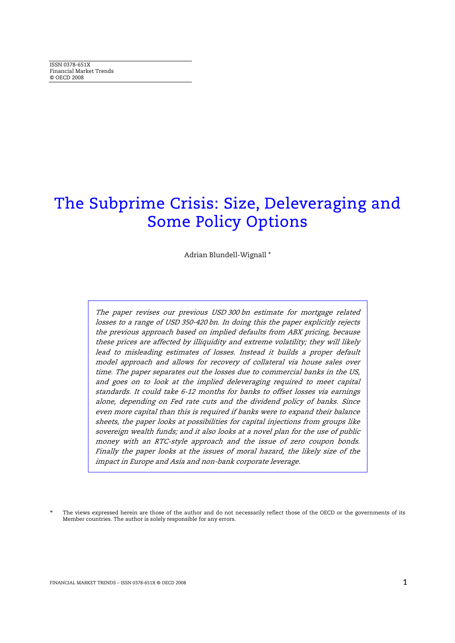# The Subprime Crisis: Size, Deleveraging and Some Policy Options

Adrian Blundell-Wignall \*

The paper revises our previous USD 300 bn estimate for mortgage related losses to a range of USD 350-420 bn. In doing this the paper explicitly rejects the previous approach based on implied defaults from ABX pricing, because these prices are affected by illiquidity and extreme volatility; they will likely lead to misleading estimates of losses. Instead it builds a proper default model approach and allows for recovery of collateral via house sales over time. The paper separates out the losses due to commercial banks in the US, and goes on to look at the implied deleveraging required to meet capital standards. It could take 6-12 months for banks to offset losses via earnings alone, depending on Fed rate cuts and the dividend policy of banks. Since even more capital than this is required if banks were to expand their balance sheets, the paper looks at possibilities for capital injections from groups like sovereign wealth funds; and it also looks at a novel plan for the use of public money with an RTC-style approach and the issue of zero coupon bonds. Finally the paper looks at the issues of moral hazard, the likely size of the impact in Europe and Asia and non-bank corporate leverage.

The views expressed herein are those of the author and do not necessarily reflect those of the OECD or the governments of its Member countries. The author is solely responsible for any errors.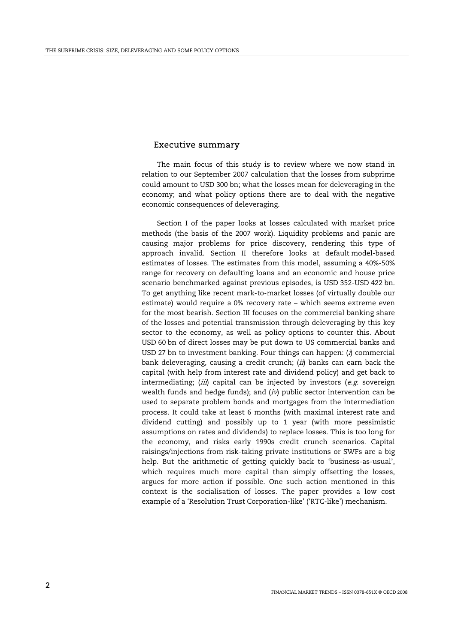#### Executive summary

 The main focus of this study is to review where we now stand in relation to our September 2007 calculation that the losses from subprime could amount to USD 300 bn; what the losses mean for deleveraging in the economy; and what policy options there are to deal with the negative economic consequences of deleveraging.

 Section I of the paper looks at losses calculated with market price methods (the basis of the 2007 work). Liquidity problems and panic are causing major problems for price discovery, rendering this type of approach invalid. Section II therefore looks at default model-based estimates of losses. The estimates from this model, assuming a 40%-50% range for recovery on defaulting loans and an economic and house price scenario benchmarked against previous episodes, is USD 352-USD 422 bn. To get anything like recent mark-to-market losses (of virtually double our estimate) would require a 0% recovery rate – which seems extreme even for the most bearish. Section III focuses on the commercial banking share of the losses and potential transmission through deleveraging by this key sector to the economy, as well as policy options to counter this. About USD 60 bn of direct losses may be put down to US commercial banks and USD 27 bn to investment banking. Four things can happen:  $(i)$  commercial bank deleveraging, causing a credit crunch; (ii) banks can earn back the capital (with help from interest rate and dividend policy) and get back to intermediating;  $(iii)$  capital can be injected by investors (e.g. sovereign wealth funds and hedge funds); and  $(i\nu)$  public sector intervention can be used to separate problem bonds and mortgages from the intermediation process. It could take at least 6 months (with maximal interest rate and dividend cutting) and possibly up to 1 year (with more pessimistic assumptions on rates and dividends) to replace losses. This is too long for the economy, and risks early 1990s credit crunch scenarios. Capital raisings/injections from risk-taking private institutions or SWFs are a big help. But the arithmetic of getting quickly back to 'business-as-usual', which requires much more capital than simply offsetting the losses, argues for more action if possible. One such action mentioned in this context is the socialisation of losses. The paper provides a low cost example of a 'Resolution Trust Corporation-like' ('RTC-like') mechanism.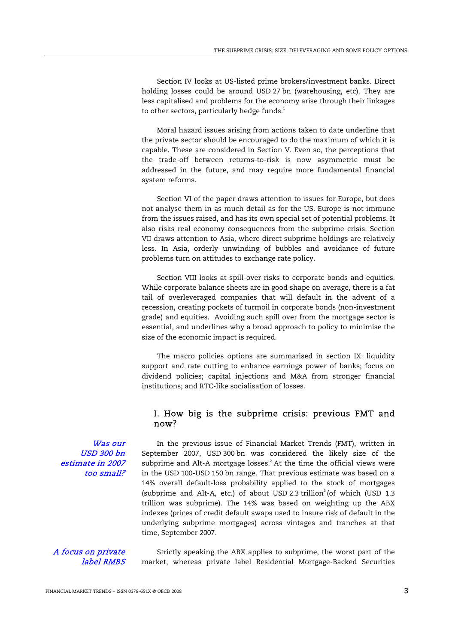Section IV looks at US-listed prime brokers/investment banks. Direct holding losses could be around USD 27 bn (warehousing, etc). They are less capitalised and problems for the economy arise through their linkages to other sectors, particularly hedge funds.<sup>1</sup>

 Moral hazard issues arising from actions taken to date underline that the private sector should be encouraged to do the maximum of which it is capable. These are considered in Section V. Even so, the perceptions that the trade-off between returns-to-risk is now asymmetric must be addressed in the future, and may require more fundamental financial system reforms.

 Section VI of the paper draws attention to issues for Europe, but does not analyse them in as much detail as for the US. Europe is not immune from the issues raised, and has its own special set of potential problems. It also risks real economy consequences from the subprime crisis. Section VII draws attention to Asia, where direct subprime holdings are relatively less. In Asia, orderly unwinding of bubbles and avoidance of future problems turn on attitudes to exchange rate policy.

 Section VIII looks at spill-over risks to corporate bonds and equities. While corporate balance sheets are in good shape on average, there is a fat tail of overleveraged companies that will default in the advent of a recession, creating pockets of turmoil in corporate bonds (non-investment grade) and equities. Avoiding such spill over from the mortgage sector is essential, and underlines why a broad approach to policy to minimise the size of the economic impact is required.

 The macro policies options are summarised in section IX: liquidity support and rate cutting to enhance earnings power of banks; focus on dividend policies; capital injections and M&A from stronger financial institutions; and RTC-like socialisation of losses.

## I. How big is the subprime crisis: previous FMT and now?

Was our USD 300 bn estimate in 2007 too small?

In the previous issue of Financial Market Trends (FMT), written in September 2007, USD 300 bn was considered the likely size of the subprime and Alt-A mortgage losses. $2$  At the time the official views were in the USD 100-USD 150 bn range. That previous estimate was based on a 14% overall default-loss probability applied to the stock of mortgages (subprime and Alt-A, etc.) of about USD 2.3 trillion<sup>3</sup> (of which (USD 1.3) trillion was subprime). The 14% was based on weighting up the ABX indexes (prices of credit default swaps used to insure risk of default in the underlying subprime mortgages) across vintages and tranches at that time, September 2007.

#### A focus on private label RMBS

Strictly speaking the ABX applies to subprime, the worst part of the market, whereas private label Residential Mortgage-Backed Securities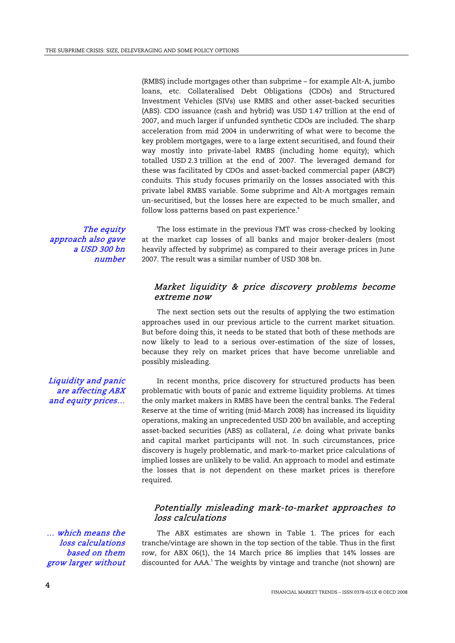(RMBS) include mortgages other than subprime – for example Alt-A, jumbo loans, etc. Collateralised Debt Obligations (CDOs) and Structured Investment Vehicles (SIVs) use RMBS and other asset-backed securities (ABS). CDO issuance (cash and hybrid) was USD 1.47 trillion at the end of 2007, and much larger if unfunded synthetic CDOs are included. The sharp acceleration from mid 2004 in underwriting of what were to become the key problem mortgages, were to a large extent securitised, and found their way mostly into private-label RMBS (including home equity); which totalled USD 2.3 trillion at the end of 2007. The leveraged demand for these was facilitated by CDOs and asset-backed commercial paper (ABCP) conduits. This study focuses primarily on the losses associated with this private label RMBS variable. Some subprime and Alt-A mortgages remain un-securitised, but the losses here are expected to be much smaller, and follow loss patterns based on past experience.<sup>4</sup>

The equity approach also gave a USD 300 bn number

The loss estimate in the previous FMT was cross-checked by looking at the market cap losses of all banks and major broker-dealers (most heavily affected by subprime) as compared to their average prices in June 2007. The result was a similar number of USD 308 bn.

## Market liquidity & price discovery problems become extreme now

 The next section sets out the results of applying the two estimation approaches used in our previous article to the current market situation. But before doing this, it needs to be stated that both of these methods are now likely to lead to a serious over-estimation of the size of losses, because they rely on market prices that have become unreliable and possibly misleading.

In recent months, price discovery for structured products has been problematic with bouts of panic and extreme liquidity problems. At times the only market makers in RMBS have been the central banks. The Federal Reserve at the time of writing (mid-March 2008) has increased its liquidity operations, making an unprecedented USD 200 bn available, and accepting asset-backed securities (ABS) as collateral, *i.e.* doing what private banks and capital market participants will not. In such circumstances, price discovery is hugely problematic, and mark-to-market price calculations of implied losses are unlikely to be valid. An approach to model and estimate the losses that is not dependent on these market prices is therefore required.

## Potentially misleading mark-to-market approaches to loss calculations

… which means the loss calculations based on them grow larger without

The ABX estimates are shown in Table 1. The prices for each tranche/vintage are shown in the top section of the table. Thus in the first row, for ABX 06(1), the 14 March price 86 implies that 14% losses are discounted for AAA.<sup>5</sup> The weights by vintage and tranche (not shown) are

Liquidity and panic are affecting ABX and equity prices…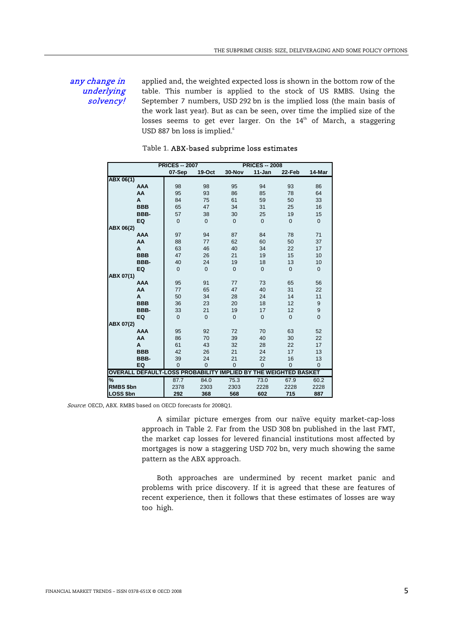## any change in underlying solvency!

applied and, the weighted expected loss is shown in the bottom row of the table. This number is applied to the stock of US RMBS. Using the September 7 numbers, USD 292 bn is the implied loss (the main basis of the work last year). But as can be seen, over time the implied size of the losses seems to get ever larger. On the 14<sup>th</sup> of March, a staggering USD 887 bn loss is implied.<sup>6</sup>

|                                         | <b>PRICES -- 2007</b> |                |                   | <b>PRICES -- 2008</b> |                     |                |
|-----------------------------------------|-----------------------|----------------|-------------------|-----------------------|---------------------|----------------|
|                                         | 07-Sep                | $19-Oct$       | 30-Nov            | 11-Jan                | 22-Feb              | 14-Mar         |
| ABX 06(1)                               |                       |                |                   |                       |                     |                |
| <b>AAA</b>                              | 98                    | 98             | 95                | 94                    | 93                  | 86             |
| AA                                      | 95                    | 93             | 86                | 85                    | 78                  | 64             |
| A                                       | 84                    | 75             | 61                | 59                    | 50                  | 33             |
| <b>BBB</b>                              | 65                    | 47             | 34                | 31                    | 25                  | 16             |
| BBB-                                    | 57                    | 38             | 30                | 25                    | 19                  | 15             |
| EQ                                      | $\overline{0}$        | $\mathbf{0}$   | $\Omega$          | $\mathbf{0}$          | $\mathbf{0}$        | $\mathbf 0$    |
| ABX 06(2)                               |                       |                |                   |                       |                     |                |
| <b>AAA</b>                              | 97                    | 94             | 87                | 84                    | 78                  | 71             |
| AA                                      | 88                    | 77             | 62                | 60                    | 50                  | 37             |
| A                                       | 63                    | 46             | 40                | 34                    | 22                  | 17             |
| <b>BBB</b>                              | 47                    | 26             | 21                | 19                    | 15                  | 10             |
| BBB-                                    | 40                    | 24             | 19                | 18                    | 13                  | 10             |
| EQ                                      | $\overline{0}$        | $\mathbf{0}$   | $\mathbf{0}$      | $\mathbf{0}$          | $\mathbf{0}$        | $\mathbf 0$    |
| ABX 07(1)                               |                       |                |                   |                       |                     |                |
| <b>AAA</b>                              | 95                    | 91             | 77                | 73                    | 65                  | 56             |
| AA                                      | 77                    | 65             | 47                | 40                    | 31                  | 22             |
| A                                       | 50                    | 34             | 28                | 24                    | 14                  | 11             |
| <b>BBB</b>                              | 36                    | 23             | 20                | 18                    | 12                  | 9              |
| BBB-                                    | 33                    | 21             | 19                | 17                    | 12                  | 9              |
| EQ                                      | $\Omega$              | $\overline{0}$ | $\mathbf{0}$      | $\mathbf{0}$          | $\mathbf{0}$        | $\overline{0}$ |
| ABX 07(2)                               |                       |                |                   |                       |                     |                |
| <b>AAA</b>                              | 95                    | 92             | 72                | 70                    | 63                  | 52             |
| AA                                      | 86                    | 70             | 39                | 40                    | 30                  | 22             |
| A                                       | 61                    | 43             | 32                | 28                    | 22                  | 17             |
| <b>BBB</b>                              | 42                    | 26             | 21                | 24                    | 17                  | 13             |
| BBB-                                    | 39                    | 24             | 21                | 22                    | 16                  | 13             |
| EQ                                      | $\overline{0}$        | $\mathbf 0$    | $\mathbf 0$       | $\mathbf 0$           | $\mathbf 0$         | $\mathbf 0$    |
| <b>OVERALL DEFAULT-LOSS PROBABILITY</b> |                       |                | <b>IMPLIED BY</b> |                       | THE WEIGHTED BASKET |                |
| %                                       | 87.7                  | 84.0           | 75.3              | 73.0                  | 67.9                | 60.2           |
| RMBS \$bn                               | 2378                  | 2303           | 2303              | 2228                  | 2228                | 2228           |
| <b>LOSS \$bn</b>                        | 292                   | 368            | 568               | 602                   | 715                 | 887            |

#### Table 1. ABX-based subprime loss estimates

Source: OECD, ABX. RMBS based on OECD forecasts for 2008Q1.

 A similar picture emerges from our naïve equity market-cap-loss approach in Table 2. Far from the USD 308 bn published in the last FMT, the market cap losses for levered financial institutions most affected by mortgages is now a staggering USD 702 bn, very much showing the same pattern as the ABX approach.

 Both approaches are undermined by recent market panic and problems with price discovery. If it is agreed that these are features of recent experience, then it follows that these estimates of losses are way too high.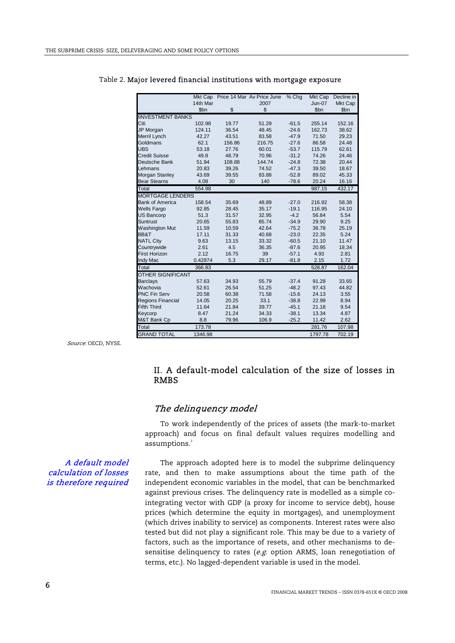|                          |          |        | Mkt Cap Price 14 Mar Av Price June | % Chq   | Mkt Cap       | Decline in |
|--------------------------|----------|--------|------------------------------------|---------|---------------|------------|
|                          | 14th Mar |        | 2007                               |         | <b>Jun-07</b> | Mkt Cap    |
|                          | \$bn     | \$     | \$                                 |         | \$bn          | \$bn       |
| <b>IINVESTMENT BANKS</b> |          |        |                                    |         |               |            |
| Citi                     | 102.98   | 19.77  | 51.29                              | $-61.5$ | 255.14        | 152.16     |
| JP Morgan                | 124.11   | 36.54  | 48.45                              | $-24.6$ | 162.73        | 38.62      |
| Merril Lynch             | 42.27    | 43.51  | 83.58                              | $-47.9$ | 71.50         | 29.23      |
| Goldmans                 | 62.1     | 156.86 | 216.75                             | $-27.6$ | 86.58         | 24.48      |
| <b>UBS</b>               | 53.18    | 27.76  | 60.01                              | $-53.7$ | 115.79        | 62.61      |
| Credit Suisse            | 49.8     | 48.79  | 70.96                              | $-31.2$ | 74.26         | 24.46      |
| Deutsche Bank            | 51.94    | 108.88 | 144.74                             | $-24.8$ | 72.38         | 20.44      |
| Lehmans                  | 20.83    | 39.26  | 74.52                              | $-47.3$ | 39.50         | 18.67      |
| <b>Morgan Stanley</b>    | 43.69    | 39.55  | 83.88                              | $-52.8$ | 89.02         | 45.33      |
| <b>Bear Stearns</b>      | 4.08     | 30     | 140                                | $-78.6$ | 20.24         | 16.16      |
| Total                    | 554.98   |        |                                    |         | 987.15        | 432.17     |
| <b>MORTGAGE LENDERS</b>  |          |        |                                    |         |               |            |
| <b>Bank of America</b>   | 158.54   | 35.69  | 48.89                              | $-27.0$ | 216.92        | 58.38      |
| <b>Wells Fargo</b>       | 92.85    | 28.45  | 35.17                              | $-19.1$ | 116.95        | 24.10      |
| <b>US Bancorp</b>        | 51.3     | 31.57  | 32.95                              | $-4.2$  | 56.84         | 5.54       |
| Suntrust                 | 20.65    | 55.83  | 85.74                              | $-34.9$ | 29.90         | 9.25       |
| <b>Washington Mut</b>    | 11.59    | 10.59  | 42.64                              | $-75.2$ | 36.78         | 25.19      |
| BB&T                     | 17.11    | 31.33  | 40.68                              | $-23.0$ | 22.35         | 5.24       |
| <b>NATL City</b>         | 9.63     | 13.15  | 33.32                              | $-60.5$ | 21.10         | 11.47      |
| Countrywide              | 2.61     | 4.5    | 36.35                              | $-87.6$ | 20.95         | 18.34      |
| <b>First Horizon</b>     | 2.12     | 16.75  | 39                                 | $-57.1$ | 4.93          | 2.81       |
| Indy Mac                 | 0.42874  | 5.3    | 29.17                              | $-81.8$ | 2.15          | 1.72       |
| Total                    | 366.83   |        |                                    |         | 528.87        | 162.04     |
| <b>OTHER SIGNIFICANT</b> |          |        |                                    |         |               |            |
| <b>Barclays</b>          | 57.63    | 34.93  | 55.79                              | $-37.4$ | 91.28         | 33.65      |
| Wachovia                 | 52.61    | 26.54  | 51.25                              | $-48.2$ | 97.43         | 44.82      |
| <b>PNC Fin Serv</b>      | 20.58    | 60.38  | 71.58                              | $-15.6$ | 24.13         | 3.55       |
| <b>Regions Financial</b> | 14.05    | 20.25  | 33.1                               | $-38.8$ | 22.99         | 8.94       |
| <b>Fifth Third</b>       | 11.64    | 21.84  | 39.77                              | $-45.1$ | 21.18         | 9.54       |
| Keycorp                  | 8.47     | 21.24  | 34.33                              | $-38.1$ | 13.34         | 4.87       |
| M&T Bank Cp              | 8.8      | 79.96  | 106.9                              | $-25.2$ | 11.42         | 2.62       |
| Total                    | 173.78   |        |                                    |         | 281.76        | 107.98     |
| <b>GRAND TOTAL</b>       | 1346.98  |        |                                    |         | 1797.78       | 702.19     |

#### Table 2. Major levered financial institutions with mortgage exposure

Source: OECD, NYSE.

## II. A default-model calculation of the size of losses in RMBS

## The delinquency model

 To work independently of the prices of assets (the mark-to-market approach) and focus on final default values requires modelling and assumptions.<sup>7</sup>

## A default model calculation of losses is therefore required

The approach adopted here is to model the subprime delinquency rate, and then to make assumptions about the time path of the independent economic variables in the model, that can be benchmarked against previous crises. The delinquency rate is modelled as a simple cointegrating vector with GDP (a proxy for income to service debt), house prices (which determine the equity in mortgages), and unemployment (which drives inability to service) as components. Interest rates were also tested but did not play a significant role. This may be due to a variety of factors, such as the importance of resets, and other mechanisms to desensitise delinquency to rates ( $e.g.$  option ARMS, loan renegotiation of terms, etc.). No lagged-dependent variable is used in the model.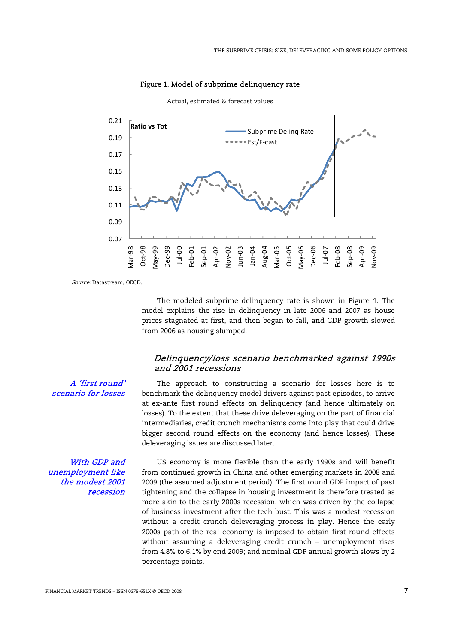

Figure 1. Model of subprime delinquency rate Actual, estimated & forecast values

Source: Datastream, OECD.

A 'first round' scenario for losses

 The modeled subprime delinquency rate is shown in Figure 1. The model explains the rise in delinquency in late 2006 and 2007 as house prices stagnated at first, and then began to fall, and GDP growth slowed from 2006 as housing slumped.

## Delinquency/loss scenario benchmarked against 1990s and 2001 recessions

The approach to constructing a scenario for losses here is to benchmark the delinquency model drivers against past episodes, to arrive at ex-ante first round effects on delinquency (and hence ultimately on losses). To the extent that these drive deleveraging on the part of financial intermediaries, credit crunch mechanisms come into play that could drive bigger second round effects on the economy (and hence losses). These deleveraging issues are discussed later.

With GDP and unemployment like the modest 2001 recession

US economy is more flexible than the early 1990s and will benefit from continued growth in China and other emerging markets in 2008 and 2009 (the assumed adjustment period). The first round GDP impact of past tightening and the collapse in housing investment is therefore treated as more akin to the early 2000s recession, which was driven by the collapse of business investment after the tech bust. This was a modest recession without a credit crunch deleveraging process in play. Hence the early 2000s path of the real economy is imposed to obtain first round effects without assuming a deleveraging credit crunch – unemployment rises from 4.8% to 6.1% by end 2009; and nominal GDP annual growth slows by 2 percentage points.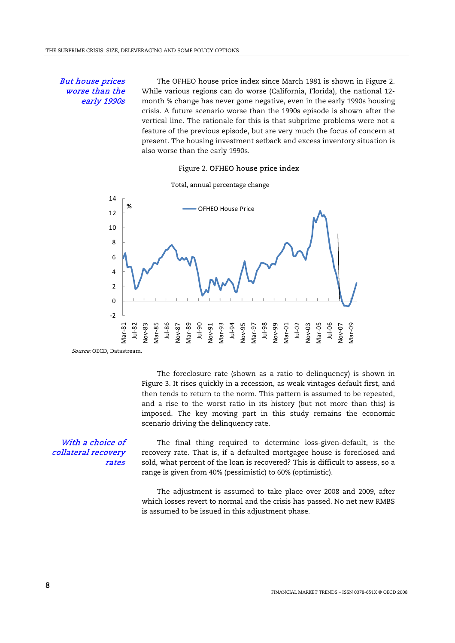## But house prices worse than the early 1990s

The OFHEO house price index since March 1981 is shown in Figure 2. While various regions can do worse (California, Florida), the national 12 month % change has never gone negative, even in the early 1990s housing crisis. A future scenario worse than the 1990s episode is shown after the vertical line. The rationale for this is that subprime problems were not a feature of the previous episode, but are very much the focus of concern at present. The housing investment setback and excess inventory situation is also worse than the early 1990s.

#### Figure 2. OFHEO house price index



Source: OECD, Datastream.

 The foreclosure rate (shown as a ratio to delinquency) is shown in Figure 3. It rises quickly in a recession, as weak vintages default first, and then tends to return to the norm. This pattern is assumed to be repeated, and a rise to the worst ratio in its history (but not more than this) is imposed. The key moving part in this study remains the economic scenario driving the delinquency rate.

### With a choice of collateral recovery rates

The final thing required to determine loss-given-default, is the recovery rate. That is, if a defaulted mortgagee house is foreclosed and sold, what percent of the loan is recovered? This is difficult to assess, so a range is given from 40% (pessimistic) to 60% (optimistic).

 The adjustment is assumed to take place over 2008 and 2009, after which losses revert to normal and the crisis has passed. No net new RMBS is assumed to be issued in this adjustment phase.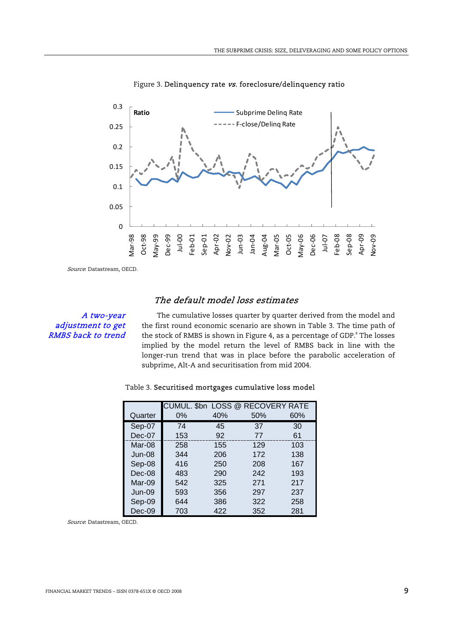

Figure 3. Delinquency rate vs. foreclosure/delinquency ratio

Source: Datastream, OECD.

## The default model loss estimates

## A two-year adjustment to get RMBS back to trend

The cumulative losses quarter by quarter derived from the model and the first round economic scenario are shown in Table 3. The time path of the stock of RMBS is shown in Figure 4, as a percentage of GDP. $^8$  The losses implied by the model return the level of RMBS back in line with the longer-run trend that was in place before the parabolic acceleration of subprime, Alt-A and securitisation from mid 2004.

|  | Table 3. Securitised mortgages cumulative loss model |
|--|------------------------------------------------------|
|--|------------------------------------------------------|

|          |       |     | CUMUL. \$bn LOSS @ RECOVERY RATE |     |
|----------|-------|-----|----------------------------------|-----|
| Quarter  | $0\%$ | 40% | 50%                              | 60% |
| Sep-07   | 74    | 45  | 37                               | 30  |
| $Dec-07$ | 153   | 92  | 77                               | 61  |
| Mar-08   | 258   | 155 | 129                              | 103 |
| Jun-08   | 344   | 206 | 172                              | 138 |
| Sep-08   | 416   | 250 | 208                              | 167 |
| Dec-08   | 483   | 290 | 242                              | 193 |
| Mar-09   | 542   | 325 | 271                              | 217 |
| $Jun-09$ | 593   | 356 | 297                              | 237 |
| Sep-09   | 644   | 386 | 322                              | 258 |
| $Dec-09$ | 703   | 422 | 352                              | 281 |

Source: Datastream, OECD.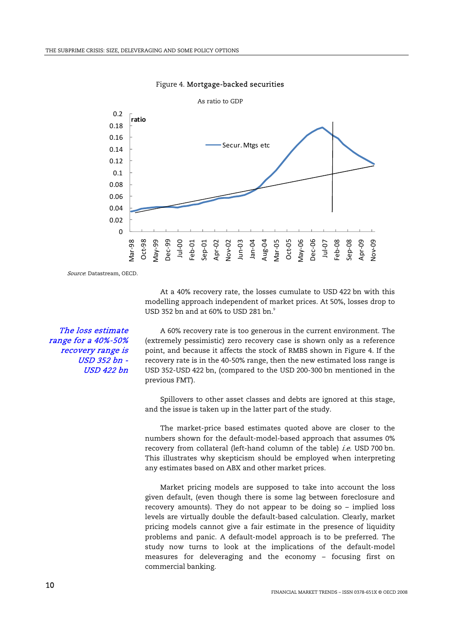

#### Figure 4. Mortgage-backed securities

Source: Datastream, OECD.

At a 40% recovery rate, the losses cumulate to USD 422 bn with this modelling approach independent of market prices. At 50%, losses drop to USD 352 bn and at 60% to USD 281 bn. $^\circ$ 

A 60% recovery rate is too generous in the current environment. The (extremely pessimistic) zero recovery case is shown only as a reference point, and because it affects the stock of RMBS shown in Figure 4. If the recovery rate is in the 40-50% range, then the new estimated loss range is USD 352-USD 422 bn, (compared to the USD 200-300 bn mentioned in the previous FMT).

 Spillovers to other asset classes and debts are ignored at this stage, and the issue is taken up in the latter part of the study.

 The market-price based estimates quoted above are closer to the numbers shown for the default-model-based approach that assumes 0% recovery from collateral (left-hand column of the table) *i.e.* USD 700 bn. This illustrates why skepticism should be employed when interpreting any estimates based on ABX and other market prices.

 Market pricing models are supposed to take into account the loss given default, (even though there is some lag between foreclosure and recovery amounts). They do not appear to be doing so – implied loss levels are virtually double the default-based calculation. Clearly, market pricing models cannot give a fair estimate in the presence of liquidity problems and panic. A default-model approach is to be preferred. The study now turns to look at the implications of the default-model measures for deleveraging and the economy – focusing first on commercial banking.

The loss estimate range for a 40%-50% recovery range is USD 352 bn - USD 422 bn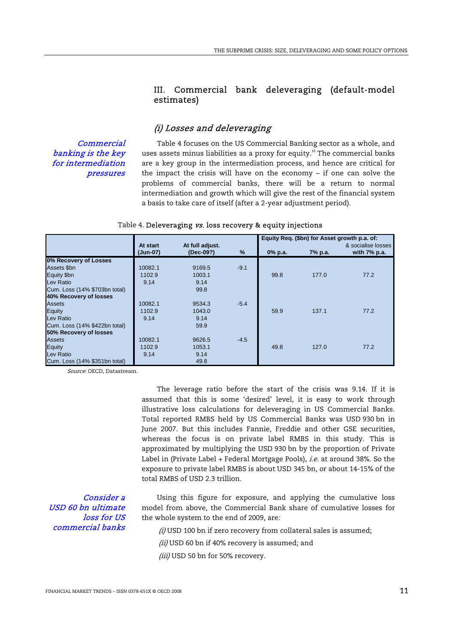## III. Commercial bank deleveraging (default-model estimates)

## (i) Losses and deleveraging

**Commercial** banking is the key for intermediation pressures

Table 4 focuses on the US Commercial Banking sector as a whole, and uses assets minus liabilities as a proxy for equity.<sup>10</sup> The commercial banks are a key group in the intermediation process, and hence are critical for the impact the crisis will have on the economy – if one can solve the problems of commercial banks, there will be a return to normal intermediation and growth which will give the rest of the financial system a basis to take care of itself (after a 2-year adjustment period).

|                               |                      |                              |        |         | Equity Req. (\$bn) for Asset growth p.a. of: |                                       |
|-------------------------------|----------------------|------------------------------|--------|---------|----------------------------------------------|---------------------------------------|
|                               | At start<br>(Jun-07) | At full adjust.<br>(Dec-09?) | %      | 0% p.a. | 7% p.a.                                      | & socialise losses<br>with $7\%$ p.a. |
| 0% Recovery of Losses         |                      |                              |        |         |                                              |                                       |
| Assets \$bn                   | 10082.1              | 9169.5                       | $-9.1$ |         |                                              |                                       |
| Equity \$bn                   | 1102.9               | 1003.1                       |        | 99.8    | 177.0                                        | 77.2                                  |
| Lev Ratio                     | 9.14                 | 9.14                         |        |         |                                              |                                       |
| Cum. Loss (14% \$703bn total) |                      | 99.8                         |        |         |                                              |                                       |
| 40% Recovery of losses        |                      |                              |        |         |                                              |                                       |
| <b>Assets</b>                 | 10082.1              | 9534.3                       | $-5.4$ |         |                                              |                                       |
| Equity                        | 1102.9               | 1043.0                       |        | 59.9    | 137.1                                        | 77.2                                  |
| Lev Ratio                     | 9.14                 | 9.14                         |        |         |                                              |                                       |
| Cum. Loss (14% \$422bn total) |                      | 59.9                         |        |         |                                              |                                       |
| 50% Recovery of losses        |                      |                              |        |         |                                              |                                       |
| <b>Assets</b>                 | 10082.1              | 9626.5                       | $-4.5$ |         |                                              |                                       |
| <b>Equity</b>                 | 1102.9               | 1053.1                       |        | 49.8    | 127.0                                        | 77.2                                  |
| Lev Ratio                     | 9.14                 | 9.14                         |        |         |                                              |                                       |
| Cum. Loss (14% \$351bn total) |                      | 49.8                         |        |         |                                              |                                       |

#### Table 4. Deleveraging vs. loss recovery & equity injections

Source: OECD, Datastream.

 The leverage ratio before the start of the crisis was 9.14. If it is assumed that this is some 'desired' level, it is easy to work through illustrative loss calculations for deleveraging in US Commercial Banks. Total reported RMBS held by US Commercial Banks was USD 930 bn in June 2007. But this includes Fannie, Freddie and other GSE securities, whereas the focus is on private label RMBS in this study. This is approximated by multiplying the USD 930 bn by the proportion of Private Label in (Private Label + Federal Mortgage Pools), *i.e.* at around 38%. So the exposure to private label RMBS is about USD 345 bn, or about 14-15% of the total RMBS of USD 2.3 trillion.

Consider a USD 60 bn ultimate loss for US commercial banks

Using this figure for exposure, and applying the cumulative loss model from above, the Commercial Bank share of cumulative losses for the whole system to the end of 2009, are:

 $(i)$  USD 100 bn if zero recovery from collateral sales is assumed;

(ii) USD 60 bn if 40% recovery is assumed; and

(iii) USD 50 bn for 50% recovery.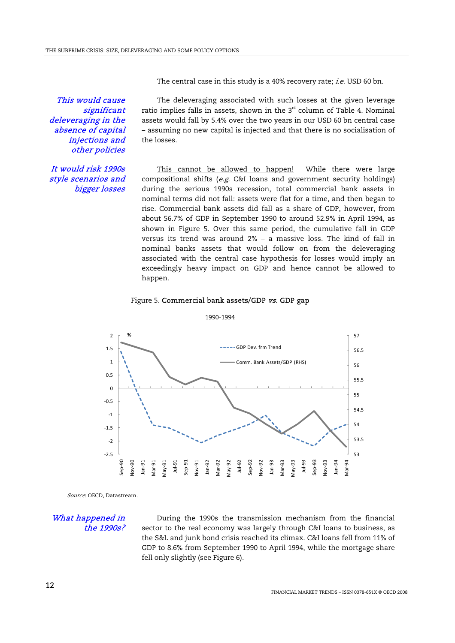The central case in this study is a 40% recovery rate; *i.e.* USD 60 bn.

This would cause significant deleveraging in the absence of capital injections and other policies

The deleveraging associated with such losses at the given leverage ratio implies falls in assets, shown in the  $3<sup>rd</sup>$  column of Table 4. Nominal assets would fall by 5.4% over the two years in our USD 60 bn central case – assuming no new capital is injected and that there is no socialisation of the losses.

## It would risk 1990s style scenarios and bigger losses

This cannot be allowed to happen! While there were large compositional shifts (e.g. C&I loans and government security holdings) during the serious 1990s recession, total commercial bank assets in nominal terms did not fall: assets were flat for a time, and then began to rise. Commercial bank assets did fall as a share of GDP, however, from about 56.7% of GDP in September 1990 to around 52.9% in April 1994, as shown in Figure 5. Over this same period, the cumulative fall in GDP versus its trend was around 2% – a massive loss. The kind of fall in nominal banks assets that would follow on from the deleveraging associated with the central case hypothesis for losses would imply an exceedingly heavy impact on GDP and hence cannot be allowed to happen.

#### Figure 5. Commercial bank assets/GDP vs. GDP gap



1990-1994

Source: OECD, Datastream.

What happened in the 1990s?

During the 1990s the transmission mechanism from the financial sector to the real economy was largely through C&I loans to business, as the S&L and junk bond crisis reached its climax. C&I loans fell from 11% of GDP to 8.6% from September 1990 to April 1994, while the mortgage share fell only slightly (see Figure 6).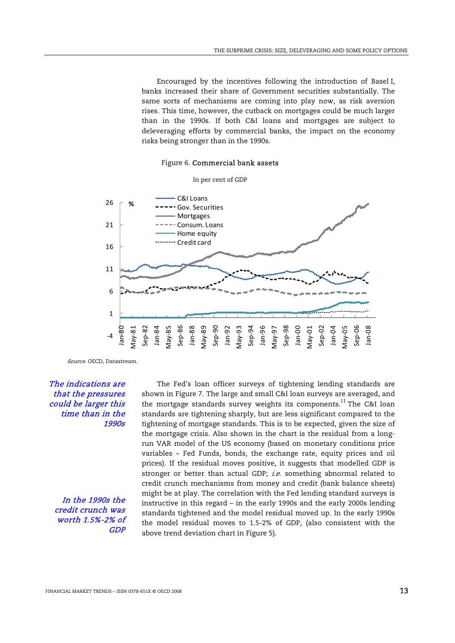Encouraged by the incentives following the introduction of Basel I, banks increased their share of Government securities substantially. The same sorts of mechanisms are coming into play now, as risk aversion rises. This time, however, the cutback on mortgages could be much larger than in the 1990s. If both C&I loans and mortgages are subject to deleveraging efforts by commercial banks, the impact on the economy risks being stronger than in the 1990s.





Source. OECD, Datastream.

The indications are that the pressures could be larger this time than in the 1990s

In the 1990s the credit crunch was worth 1.5%-2% of GDP

The Fed's loan officer surveys of tightening lending standards are shown in Figure 7. The large and small C&I loan surveys are averaged, and the mortgage standards survey weights its components.<sup>11</sup> The C&I loan standards are tightening sharply, but are less significant compared to the tightening of mortgage standards. This is to be expected, given the size of the mortgage crisis. Also shown in the chart is the residual from a longrun VAR model of the US economy (based on monetary conditions price variables – Fed Funds, bonds, the exchange rate, equity prices and oil prices). If the residual moves positive, it suggests that modelled GDP is stronger or better than actual GDP; *i.e.* something abnormal related to credit crunch mechanisms from money and credit (bank balance sheets) might be at play. The correlation with the Fed lending standard surveys is instructive in this regard – in the early 1990s and the early 2000s lending standards tightened and the model residual moved up. In the early 1990s the model residual moves to 1.5-2% of GDP, (also consistent with the above trend deviation chart in Figure 5).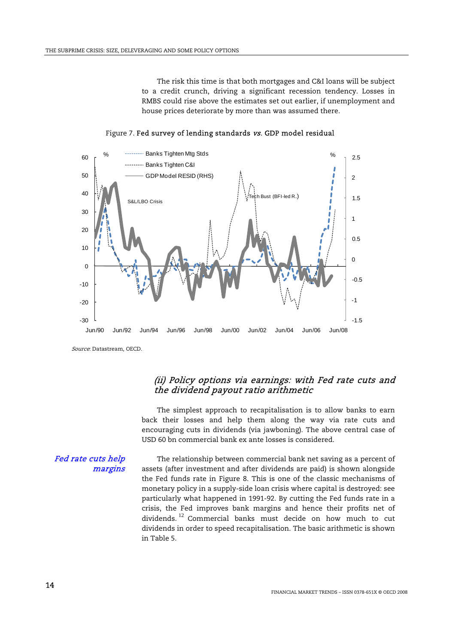The risk this time is that both mortgages and C&I loans will be subject to a credit crunch, driving a significant recession tendency. Losses in RMBS could rise above the estimates set out earlier, if unemployment and house prices deteriorate by more than was assumed there.



Figure 7. Fed survey of lending standards vs. GDP model residual

Source: Datastream, OECD.

## (ii) Policy options via earnings: with Fed rate cuts and the dividend payout ratio arithmetic

 The simplest approach to recapitalisation is to allow banks to earn back their losses and help them along the way via rate cuts and encouraging cuts in dividends (via jawboning). The above central case of USD 60 bn commercial bank ex ante losses is considered.

Fed rate cuts help margins

The relationship between commercial bank net saving as a percent of assets (after investment and after dividends are paid) is shown alongside the Fed funds rate in Figure 8. This is one of the classic mechanisms of monetary policy in a supply-side loan crisis where capital is destroyed: see particularly what happened in 1991-92. By cutting the Fed funds rate in a crisis, the Fed improves bank margins and hence their profits net of dividends.<sup>12</sup> Commercial banks must decide on how much to cut dividends in order to speed recapitalisation. The basic arithmetic is shown in Table 5.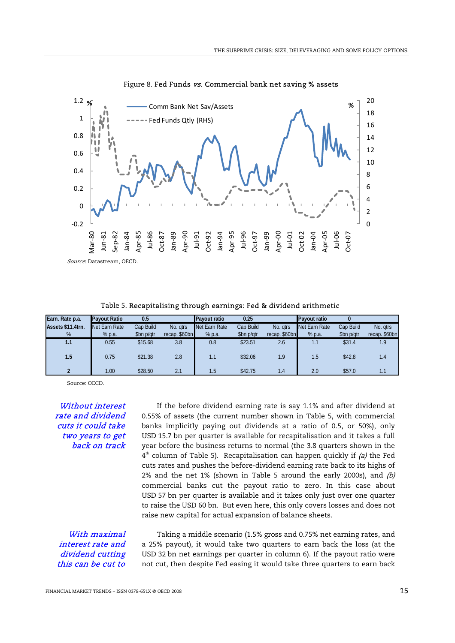

Figure 8. Fed Funds vs. Commercial bank net saving % assets

Table 5. Recapitalising through earnings: Fed & dividend arithmetic

| Earn. Rate p.a.   | <b>Pavout Ratio</b> | 0.5        |               | <b>Pavout ratio</b> | 0.25       |               | <b>Pavout ratio</b> |            |               |
|-------------------|---------------------|------------|---------------|---------------------|------------|---------------|---------------------|------------|---------------|
| Assets \$11.4trn. | Net Earn Rate       | Cap Build  | No. atrs      | Net Earn Rate       | Cap Build  | No. atrs      | Net Earn Rate       | Cap Build  | No. gtrs      |
| %                 | % p.a.              | \$bn p/qtr | recap. \$60bn | % p.a.              | \$bn p/qtr | recap. \$60bn | % p.a.              | \$bn p/qtr | recap. \$60bn |
| 1.1               | 0.55                | \$15.68    | 3.8           | 0.8                 | \$23.51    | 2.6           | 1.1                 | \$31.4     | 1.9           |
| 1.5               | 0.75                | \$21.38    | 2.8           | 1.1                 | \$32.06    | 1.9           | 1.5                 | \$42.8     | 1.4           |
| $\overline{2}$    | 1.00                | \$28.50    | 2.1           | 1.5                 | \$42.75    | 1.4           | 2.0                 | \$57.0     | 1.1           |

Source: OECD.

Without interest rate and dividend cuts it could take two years to get back on track

If the before dividend earning rate is say 1.1% and after dividend at 0.55% of assets (the current number shown in Table 5, with commercial banks implicitly paying out dividends at a ratio of 0.5, or 50%), only USD 15.7 bn per quarter is available for recapitalisation and it takes a full year before the business returns to normal (the 3.8 quarters shown in the  $4<sup>th</sup>$  column of Table 5). Recapitalisation can happen quickly if (a) the Fed cuts rates and pushes the before-dividend earning rate back to its highs of 2% and the net 1% (shown in Table 5 around the early 2000s), and  $(b)$ commercial banks cut the payout ratio to zero. In this case about USD 57 bn per quarter is available and it takes only just over one quarter to raise the USD 60 bn. But even here, this only covers losses and does not raise new capital for actual expansion of balance sheets.

With maximal interest rate and dividend cutting this can be cut to

Taking a middle scenario (1.5% gross and 0.75% net earning rates, and a 25% payout), it would take two quarters to earn back the loss (at the USD 32 bn net earnings per quarter in column 6). If the payout ratio were not cut, then despite Fed easing it would take three quarters to earn back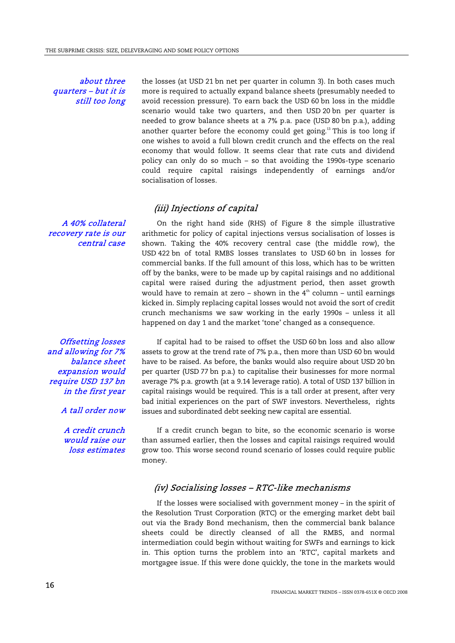about three quarters – but it is still too long

A 40% collateral recovery rate is our

central case

the losses (at USD 21 bn net per quarter in column 3). In both cases much more is required to actually expand balance sheets (presumably needed to avoid recession pressure). To earn back the USD 60 bn loss in the middle scenario would take two quarters, and then USD 20 bn per quarter is needed to grow balance sheets at a 7% p.a. pace (USD 80 bn p.a.), adding another quarter before the economy could get going.<sup>13</sup> This is too long if one wishes to avoid a full blown credit crunch and the effects on the real economy that would follow. It seems clear that rate cuts and dividend policy can only do so much – so that avoiding the 1990s-type scenario could require capital raisings independently of earnings and/or socialisation of losses.

## (iii) Injections of capital

On the right hand side (RHS) of Figure 8 the simple illustrative arithmetic for policy of capital injections versus socialisation of losses is shown. Taking the 40% recovery central case (the middle row), the USD 422 bn of total RMBS losses translates to USD 60 bn in losses for commercial banks. If the full amount of this loss, which has to be written off by the banks, were to be made up by capital raisings and no additional capital were raised during the adjustment period, then asset growth would have to remain at zero - shown in the  $4<sup>th</sup>$  column - until earnings kicked in. Simply replacing capital losses would not avoid the sort of credit crunch mechanisms we saw working in the early 1990s – unless it all happened on day 1 and the market 'tone' changed as a consequence.

Offsetting losses and allowing for 7% balance sheet expansion would require USD 137 bn in the first year

A tall order now

A credit crunch would raise our loss estimates

If capital had to be raised to offset the USD 60 bn loss and also allow assets to grow at the trend rate of 7% p.a., then more than USD 60 bn would have to be raised. As before, the banks would also require about USD 20 bn per quarter (USD 77 bn p.a.) to capitalise their businesses for more normal average 7% p.a. growth (at a 9.14 leverage ratio). A total of USD 137 billion in capital raisings would be required. This is a tall order at present, after very bad initial experiences on the part of SWF investors. Nevertheless, rights issues and subordinated debt seeking new capital are essential.

If a credit crunch began to bite, so the economic scenario is worse than assumed earlier, then the losses and capital raisings required would grow too. This worse second round scenario of losses could require public money.

## (iv) Socialising losses – RTC-like mechanisms

 If the losses were socialised with government money – in the spirit of the Resolution Trust Corporation (RTC) or the emerging market debt bail out via the Brady Bond mechanism, then the commercial bank balance sheets could be directly cleansed of all the RMBS, and normal intermediation could begin without waiting for SWFs and earnings to kick in. This option turns the problem into an 'RTC', capital markets and mortgagee issue. If this were done quickly, the tone in the markets would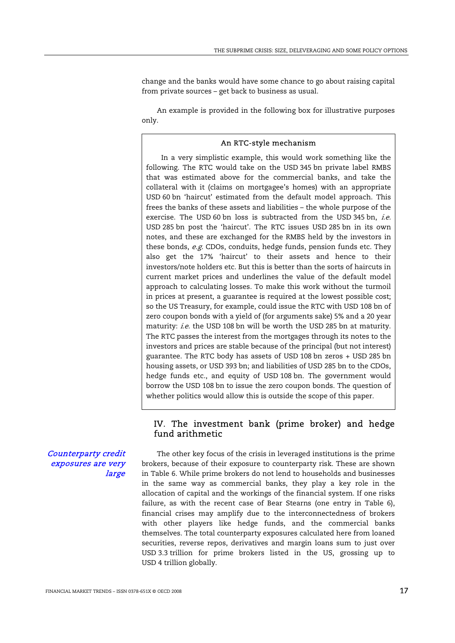change and the banks would have some chance to go about raising capital from private sources – get back to business as usual.

 An example is provided in the following box for illustrative purposes only.

#### An RTC-style mechanism

In a very simplistic example, this would work something like the following. The RTC would take on the USD 345 bn private label RMBS that was estimated above for the commercial banks, and take the collateral with it (claims on mortgagee's homes) with an appropriate USD 60 bn 'haircut' estimated from the default model approach. This frees the banks of these assets and liabilities – the whole purpose of the exercise. The USD 60 bn loss is subtracted from the USD 345 bn, *i.e.* USD 285 bn post the 'haircut'. The RTC issues USD 285 bn in its own notes, and these are exchanged for the RMBS held by the investors in these bonds, e.g. CDOs, conduits, hedge funds, pension funds etc. They also get the 17% 'haircut' to their assets and hence to their investors/note holders etc. But this is better than the sorts of haircuts in current market prices and underlines the value of the default model approach to calculating losses. To make this work without the turmoil in prices at present, a guarantee is required at the lowest possible cost; so the US Treasury, for example, could issue the RTC with USD 108 bn of zero coupon bonds with a yield of (for arguments sake) 5% and a 20 year maturity: i.e. the USD 108 bn will be worth the USD 285 bn at maturity. The RTC passes the interest from the mortgages through its notes to the investors and prices are stable because of the principal (but not interest) guarantee. The RTC body has assets of USD 108 bn zeros + USD 285 bn housing assets, or USD 393 bn; and liabilities of USD 285 bn to the CDOs, hedge funds etc., and equity of USD 108 bn. The government would borrow the USD 108 bn to issue the zero coupon bonds. The question of whether politics would allow this is outside the scope of this paper.

## IV. The investment bank (prime broker) and hedge fund arithmetic

Counterparty credit exposures are very large

The other key focus of the crisis in leveraged institutions is the prime brokers, because of their exposure to counterparty risk. These are shown in Table 6. While prime brokers do not lend to households and businesses in the same way as commercial banks, they play a key role in the allocation of capital and the workings of the financial system. If one risks failure, as with the recent case of Bear Stearns (one entry in Table 6), financial crises may amplify due to the interconnectedness of brokers with other players like hedge funds, and the commercial banks themselves. The total counterparty exposures calculated here from loaned securities, reverse repos, derivatives and margin loans sum to just over USD 3.3 trillion for prime brokers listed in the US, grossing up to USD 4 trillion globally.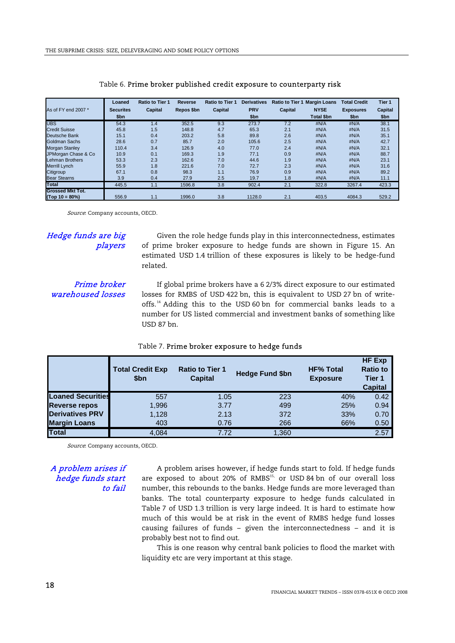|                         | Loaned           | <b>Ratio to Tier 1</b> | <b>Reverse</b> | <b>Ratio to Tier 1</b> | <b>Derivatives</b> | <b>Ratio to Tier 1</b> | <b>Margin Loans</b> | <b>Total Credit</b> | Tier 1  |
|-------------------------|------------------|------------------------|----------------|------------------------|--------------------|------------------------|---------------------|---------------------|---------|
| As of FY end 2007 *     | <b>Securites</b> | Capital                | Repos \$bn     | <b>Capital</b>         | <b>PRV</b>         | Capital                | <b>NYSE</b>         | <b>Exposures</b>    | Capital |
|                         | \$bn             |                        |                |                        | \$bn               |                        | <b>Total \$bn</b>   | \$bn                | \$bn    |
| <b>UBS</b>              | 54.3             | 1.4                    | 352.5          | 9.3                    | 273.7              | 7.2                    | #N/A                | #N/A                | 38.1    |
| <b>Credit Suisse</b>    | 45.8             | 1.5                    | 148.8          | 4.7                    | 65.3               | 2.1                    | #N/A                | #N/A                | 31.5    |
| Deutsche Bank           | 15.1             | 0.4                    | 203.2          | 5.8                    | 89.8               | 2.6                    | #N/A                | #N/A                | 35.1    |
| Goldman Sachs           | 28.6             | 0.7                    | 85.7           | 2.0                    | 105.6              | 2.5                    | #N/A                | #N/A                | 42.7    |
| <b>Morgan Stanley</b>   | 110.4            | 3.4                    | 126.9          | 4.0                    | 77.0               | 2.4                    | #N/A                | #N/A                | 32.1    |
| JPMorgan Chase & Co     | 10.9             | 0.1                    | 169.3          | 1.9                    | 77.1               | 0.9                    | #N/A                | #N/A                | 88.7    |
| <b>Lehman Brothers</b>  | 53.3             | 2.3                    | 162.6          | 7.0                    | 44.6               | 1.9                    | #N/A                | #N/A                | 23.1    |
| <b>Merrill Lynch</b>    | 55.9             | 1.8                    | 221.6          | 7.0                    | 72.7               | 2.3                    | #N/A                | #N/A                | 31.6    |
| Citigroup               | 67.1             | 0.8                    | 98.3           | 1.1                    | 76.9               | 0.9                    | #N/A                | #N/A                | 89.2    |
| <b>Bear Stearns</b>     | 3.9              | 0.4                    | 27.9           | 2.5                    | 19.7               | 1.8                    | #N/A                | #N/A                | 11.1    |
| Total                   | 445.5            | 1.1                    | 1596.8         | 3.8                    | 902.4              | 2.1                    | 322.8               | 3267.4              | 423.3   |
| <b>Grossed Mkt Tot.</b> |                  |                        |                |                        |                    |                        |                     |                     |         |
| $(Top 10 = 80\%)$       | 556.9            | 1.1                    | 1996.0         | 3.8                    | 1128.0             | 2.1                    | 403.5               | 4084.3              | 529.2   |

#### Table 6. Prime broker published credit exposure to counterparty risk

Source: Company accounts, OECD.

#### Hedge funds are big players

Given the role hedge funds play in this interconnectedness, estimates of prime broker exposure to hedge funds are shown in Figure 15. An estimated USD 1.4 trillion of these exposures is likely to be hedge-fund related.

## Prime broker warehoused losses

If global prime brokers have a 6 2/3% direct exposure to our estimated losses for RMBS of USD 422 bn, this is equivalent to USD 27 bn of writeoffs.<sup>14</sup> Adding this to the USD 60 bn for commercial banks leads to a number for US listed commercial and investment banks of something like USD 87 bn.

|                          | <b>Total Credit Exp</b><br>\$bn | <b>Ratio to Tier 1</b><br><b>Capital</b> | <b>Hedge Fund \$bn</b> | <b>HF% Total</b><br><b>Exposure</b> | <b>HF Exp</b><br><b>Ratio to</b><br>Tier 1<br><b>Capital</b> |
|--------------------------|---------------------------------|------------------------------------------|------------------------|-------------------------------------|--------------------------------------------------------------|
| <b>Loaned Securities</b> | 557                             | 1.05                                     | 223                    | 40%                                 | 0.42                                                         |
| <b>Reverse repos</b>     | 1,996                           | 3.77                                     | 499                    | 25%                                 | 0.94                                                         |
| <b>Derivatives PRV</b>   | 1,128                           | 2.13                                     | 372                    | 33%                                 | 0.70                                                         |
| <b>Margin Loans</b>      | 403                             | 0.76                                     | 266                    | 66%                                 | 0.50                                                         |
| <b>Total</b>             | 4.084                           | 7.72                                     | 1,360                  |                                     | 2.57                                                         |

### Table 7. Prime broker exposure to hedge funds

Source: Company accounts, OECD.

#### A problem arises if hedge funds start to fail

A problem arises however, if hedge funds start to fold. If hedge funds are exposed to about 20% of RMBS<sup>15,</sup> or USD 84 bn of our overall loss number, this rebounds to the banks. Hedge funds are more leveraged than banks. The total counterparty exposure to hedge funds calculated in Table 7 of USD 1.3 trillion is very large indeed. It is hard to estimate how much of this would be at risk in the event of RMBS hedge fund losses causing failures of funds – given the interconnectedness – and it is probably best not to find out.

 This is one reason why central bank policies to flood the market with liquidity etc are very important at this stage.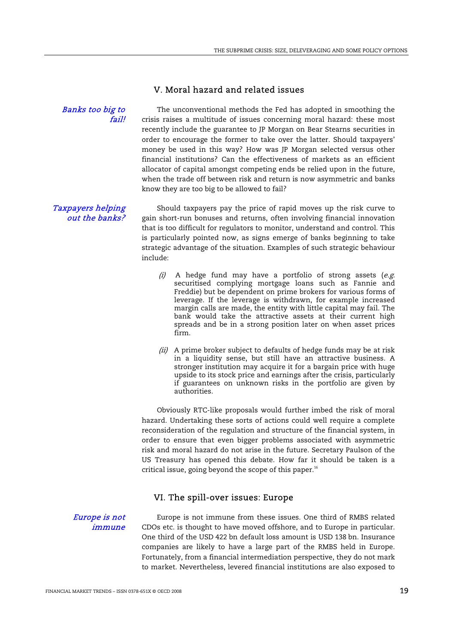## V. Moral hazard and related issues

Banks too big to fail!

The unconventional methods the Fed has adopted in smoothing the crisis raises a multitude of issues concerning moral hazard: these most recently include the guarantee to JP Morgan on Bear Stearns securities in order to encourage the former to take over the latter. Should taxpayers' money be used in this way? How was JP Morgan selected versus other financial institutions? Can the effectiveness of markets as an efficient allocator of capital amongst competing ends be relied upon in the future, when the trade off between risk and return is now asymmetric and banks know they are too big to be allowed to fail?

Taxpayers helping out the banks?

Should taxpayers pay the price of rapid moves up the risk curve to gain short-run bonuses and returns, often involving financial innovation that is too difficult for regulators to monitor, understand and control. This is particularly pointed now, as signs emerge of banks beginning to take strategic advantage of the situation. Examples of such strategic behaviour include:

- $(i)$  A hedge fund may have a portfolio of strong assets (e.g. securitised complying mortgage loans such as Fannie and Freddie) but be dependent on prime brokers for various forms of leverage. If the leverage is withdrawn, for example increased margin calls are made, the entity with little capital may fail. The bank would take the attractive assets at their current high spreads and be in a strong position later on when asset prices firm.
- $(iii)$  A prime broker subject to defaults of hedge funds may be at risk in a liquidity sense, but still have an attractive business. A stronger institution may acquire it for a bargain price with huge upside to its stock price and earnings after the crisis, particularly if guarantees on unknown risks in the portfolio are given by authorities.

 Obviously RTC-like proposals would further imbed the risk of moral hazard. Undertaking these sorts of actions could well require a complete reconsideration of the regulation and structure of the financial system, in order to ensure that even bigger problems associated with asymmetric risk and moral hazard do not arise in the future. Secretary Paulson of the US Treasury has opened this debate. How far it should be taken is a critical issue, going beyond the scope of this paper. $16$ 

## VI. The spill-over issues: Europe

Europe is not immune

Europe is not immune from these issues. One third of RMBS related CDOs etc. is thought to have moved offshore, and to Europe in particular. One third of the USD 422 bn default loss amount is USD 138 bn. Insurance companies are likely to have a large part of the RMBS held in Europe. Fortunately, from a financial intermediation perspective, they do not mark to market. Nevertheless, levered financial institutions are also exposed to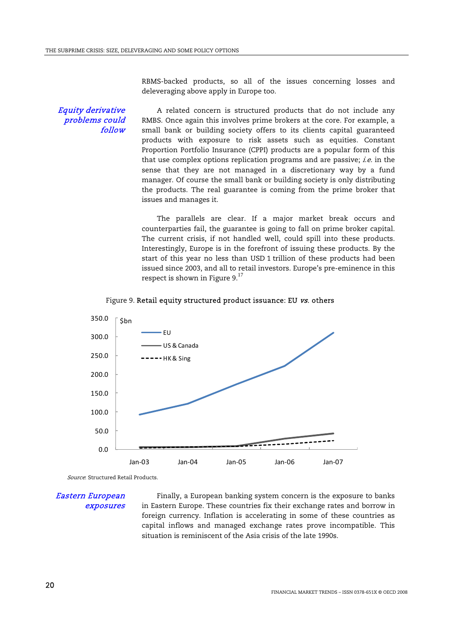RBMS-backed products, so all of the issues concerning losses and deleveraging above apply in Europe too.

#### Equity derivative problems could follow

A related concern is structured products that do not include any RMBS. Once again this involves prime brokers at the core. For example, a small bank or building society offers to its clients capital guaranteed products with exposure to risk assets such as equities. Constant Proportion Portfolio Insurance (CPPI) products are a popular form of this that use complex options replication programs and are passive; *i.e.* in the sense that they are not managed in a discretionary way by a fund manager. Of course the small bank or building society is only distributing the products. The real guarantee is coming from the prime broker that issues and manages it.

 The parallels are clear. If a major market break occurs and counterparties fail, the guarantee is going to fall on prime broker capital. The current crisis, if not handled well, could spill into these products. Interestingly, Europe is in the forefront of issuing these products. By the start of this year no less than USD 1 trillion of these products had been issued since 2003, and all to retail investors. Europe's pre-eminence in this respect is shown in Figure 9. $^{17}$ 





Source: Structured Retail Products.

Eastern European exposures

Finally, a European banking system concern is the exposure to banks in Eastern Europe. These countries fix their exchange rates and borrow in foreign currency. Inflation is accelerating in some of these countries as capital inflows and managed exchange rates prove incompatible. This situation is reminiscent of the Asia crisis of the late 1990s.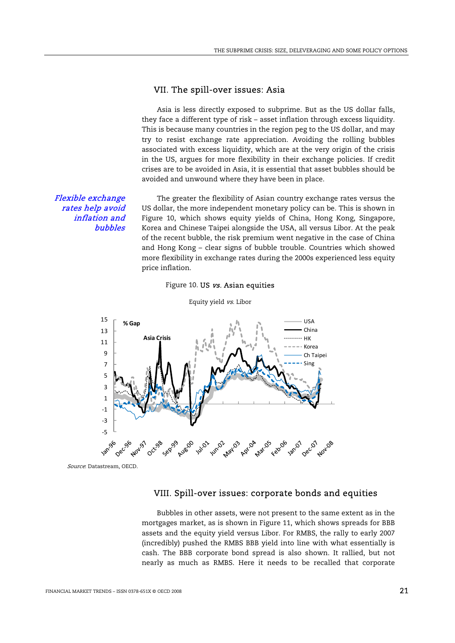## VII. The spill-over issues: Asia

 Asia is less directly exposed to subprime. But as the US dollar falls, they face a different type of risk – asset inflation through excess liquidity. This is because many countries in the region peg to the US dollar, and may try to resist exchange rate appreciation. Avoiding the rolling bubbles associated with excess liquidity, which are at the very origin of the crisis in the US, argues for more flexibility in their exchange policies. If credit crises are to be avoided in Asia, it is essential that asset bubbles should be avoided and unwound where they have been in place.

Flexible exchange rates help avoid inflation and bubbles

The greater the flexibility of Asian country exchange rates versus the US dollar, the more independent monetary policy can be. This is shown in Figure 10, which shows equity yields of China, Hong Kong, Singapore, Korea and Chinese Taipei alongside the USA, all versus Libor. At the peak of the recent bubble, the risk premium went negative in the case of China and Hong Kong – clear signs of bubble trouble. Countries which showed more flexibility in exchange rates during the 2000s experienced less equity price inflation.





Source: Datastream, OECD.

## VIII. Spill-over issues: corporate bonds and equities

 Bubbles in other assets, were not present to the same extent as in the mortgages market, as is shown in Figure 11, which shows spreads for BBB assets and the equity yield versus Libor. For RMBS, the rally to early 2007 (incredibly) pushed the RMBS BBB yield into line with what essentially is cash. The BBB corporate bond spread is also shown. It rallied, but not nearly as much as RMBS. Here it needs to be recalled that corporate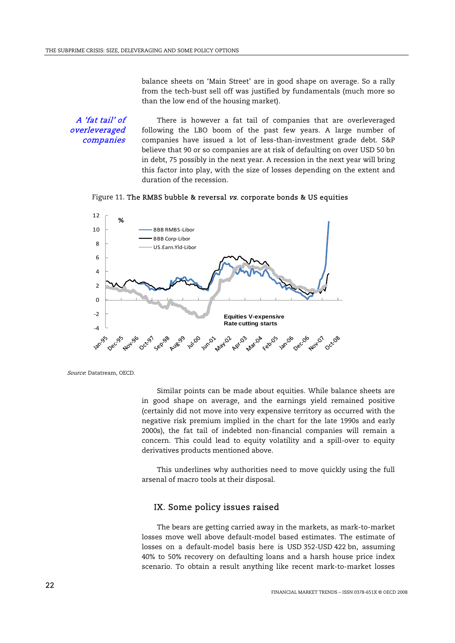balance sheets on 'Main Street' are in good shape on average. So a rally from the tech-bust sell off was justified by fundamentals (much more so than the low end of the housing market).

A 'fat tail' of overleveraged companies

There is however a fat tail of companies that are overleveraged following the LBO boom of the past few years. A large number of companies have issued a lot of less-than-investment grade debt. S&P believe that 90 or so companies are at risk of defaulting on over USD 50 bn in debt, 75 possibly in the next year. A recession in the next year will bring this factor into play, with the size of losses depending on the extent and duration of the recession.

Figure 11. The RMBS bubble & reversal vs. corporate bonds & US equities



Source: Datatream, OECD.

 Similar points can be made about equities. While balance sheets are in good shape on average, and the earnings yield remained positive (certainly did not move into very expensive territory as occurred with the negative risk premium implied in the chart for the late 1990s and early 2000s), the fat tail of indebted non-financial companies will remain a concern. This could lead to equity volatility and a spill-over to equity derivatives products mentioned above.

 This underlines why authorities need to move quickly using the full arsenal of macro tools at their disposal.

## IX. Some policy issues raised

 The bears are getting carried away in the markets, as mark-to-market losses move well above default-model based estimates. The estimate of losses on a default-model basis here is USD 352-USD 422 bn, assuming 40% to 50% recovery on defaulting loans and a harsh house price index scenario. To obtain a result anything like recent mark-to-market losses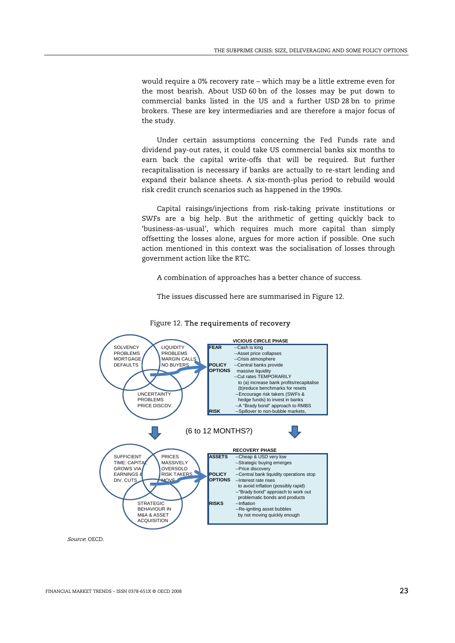would require a 0% recovery rate – which may be a little extreme even for the most bearish. About USD 60 bn of the losses may be put down to commercial banks listed in the US and a further USD 28 bn to prime brokers. These are key intermediaries and are therefore a major focus of the study.

 Under certain assumptions concerning the Fed Funds rate and dividend pay-out rates, it could take US commercial banks six months to earn back the capital write-offs that will be required. But further recapitalisation is necessary if banks are actually to re-start lending and expand their balance sheets. A six-month-plus period to rebuild would risk credit crunch scenarios such as happened in the 1990s.

 Capital raisings/injections from risk-taking private institutions or SWFs are a big help. But the arithmetic of getting quickly back to 'business-as-usual', which requires much more capital than simply offsetting the losses alone, argues for more action if possible. One such action mentioned in this context was the socialisation of losses through government action like the RTC.

A combination of approaches has a better chance of success.

The issues discussed here are summarised in Figure 12.



#### Figure 12. The requirements of recovery

Source: OECD.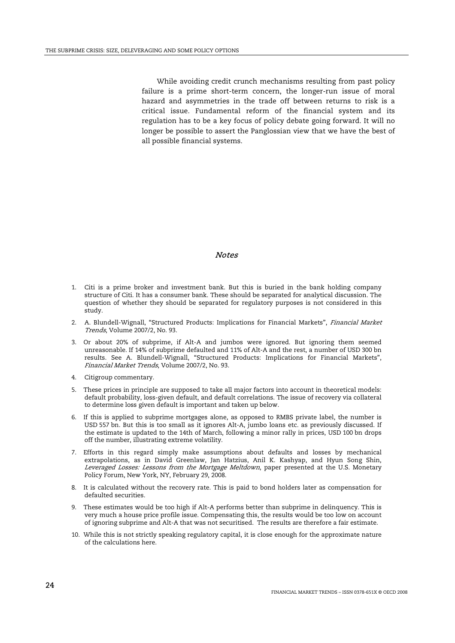While avoiding credit crunch mechanisms resulting from past policy failure is a prime short-term concern, the longer-run issue of moral hazard and asymmetries in the trade off between returns to risk is a critical issue. Fundamental reform of the financial system and its regulation has to be a key focus of policy debate going forward. It will no longer be possible to assert the Panglossian view that we have the best of all possible financial systems.

#### Notes

- 1. Citi is a prime broker and investment bank. But this is buried in the bank holding company structure of Citi. It has a consumer bank. These should be separated for analytical discussion. The question of whether they should be separated for regulatory purposes is not considered in this study.
- 2. A. Blundell-Wignall, "Structured Products: Implications for Financial Markets", Financial Market Trends, Volume 2007/2, No. 93.
- 3. Or about 20% of subprime, if Alt-A and jumbos were ignored. But ignoring them seemed unreasonable. If 14% of subprime defaulted and 11% of Alt-A and the rest, a number of USD 300 bn results. See A. Blundell-Wignall, "Structured Products: Implications for Financial Markets", Financial Market Trends, Volume 2007/2, No. 93.
- 4. Citigroup commentary.
- 5. These prices in principle are supposed to take all major factors into account in theoretical models: default probability, loss-given default, and default correlations. The issue of recovery via collateral to determine loss given default is important and taken up below.
- 6. If this is applied to subprime mortgages alone, as opposed to RMBS private label, the number is USD 557 bn. But this is too small as it ignores Alt-A, jumbo loans etc. as previously discussed. If the estimate is updated to the 14th of March, following a minor rally in prices, USD 100 bn drops off the number, illustrating extreme volatility.
- 7. Efforts in this regard simply make assumptions about defaults and losses by mechanical extrapolations, as in David Greenlaw, Jan Hatzius, Anil K. Kashyap, and Hyun Song Shin, Leveraged Losses: Lessons from the Mortgage Meltdown, paper presented at the U.S. Monetary Policy Forum, New York, NY, February 29, 2008.
- 8. It is calculated without the recovery rate. This is paid to bond holders later as compensation for defaulted securities.
- 9. These estimates would be too high if Alt-A performs better than subprime in delinquency. This is very much a house price profile issue. Compensating this, the results would be too low on account of ignoring subprime and Alt-A that was not securitised. The results are therefore a fair estimate.
- 10. While this is not strictly speaking regulatory capital, it is close enough for the approximate nature of the calculations here.